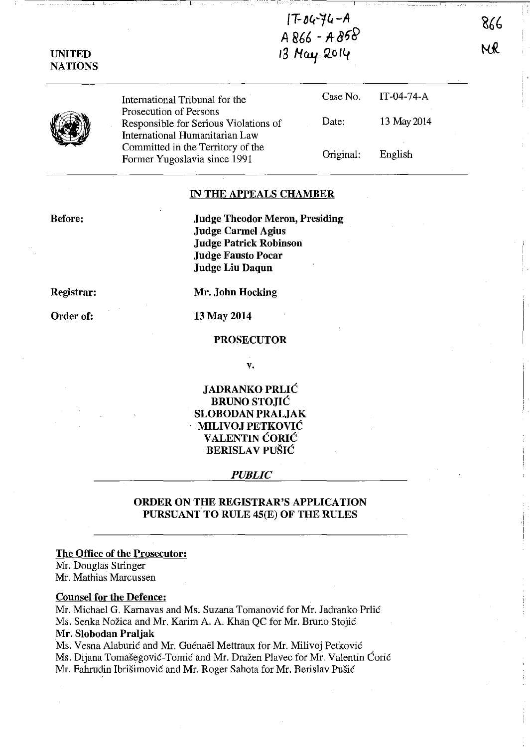*(T-D4-'f4 -A A e6b* -lta6~ 13 Hay 2014

**UNITED NATIONS** 

> International Tribunal for the Prosecution of Persons Case No. IT-04-74-A Responsible for Serious Violations of Date: 13 May 2014 International Humanitarian Law Committed in the Territory of the Former Yugoslavia since 1991 Original: English

 $-1-2$ 

## **IN THE APPEALS CHAMBER**

**Before:** 

**Judge Theodor Meron, Presiding Judge Cannel Agius Judge Patrick Robinson Judge Fausto Pocar Judge Liu Daqun** 

**Registrar:** 

**Order of:** 

13 May 2014

**Mr. John Hocking** 

## **PROSECUTOR**

v.

**JADRANKO PRLIC BRUNO STOJIC SLOBODAN PRALJAK MILIVOJ PETKOVIC VALENTIN CORIC BERISLAV PUŠIĆ** 

#### *PUBLIC*

## **ORDER ON THE REGISTRAR'S APPLICATION PURSUANT TO RULE 45(E) OF THE RULES**

#### **The Office of the Prosecutor:**

Mr. Douglas Stringer Mr. Mathias Marcussen

#### **Counsel for the Defence:**

Mr. Michael G. Karnavas and Ms. Suzana Tomanović for Mr. Jadranko Prlić Ms. Senka Nožica and Mr. Karim A. A. Khan QC for Mr. Bruno Stojić

## **Mr. Slobodan Praljak**

Ms. Vesna Alaburić and Mr. Guénaël Mettraux for Mr. Milivoj Petković

Ms. Dijana Tomašegović-Tomić and Mr. Dražen Plavec for Mr. Valentin Ćorić Mr. Fahrudin Ibrišimović and Mr. Roger Sahota for Mr. Berislav Pušić

866 NR

\_\_\_\_\_\_\_ I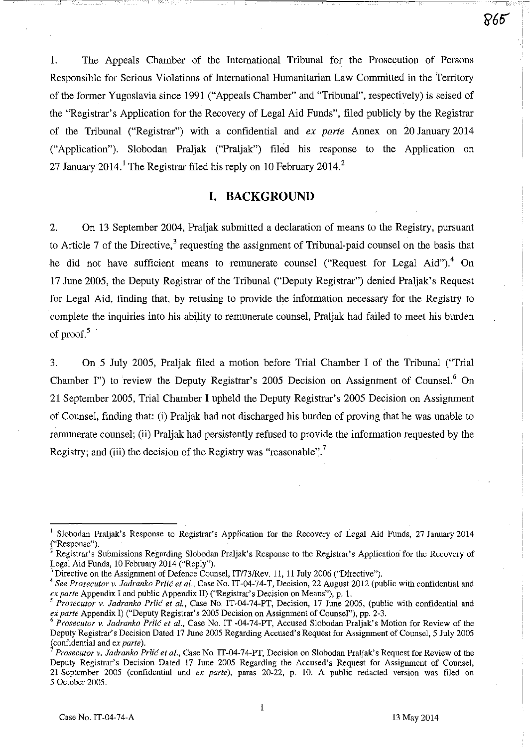1. The Appeals Chamber of the International Tribunal for the Prosecution of Persons Responsible for Serious Violations of International Humanitarian Law Committed in the Territory of the former Yugoslavia since 1991 ("Appeals Chamber" and "Tribunal", respectively) is seised of the "Registrar's Application for the Recovery of Legal Aid Funds", filed publicly by the Registrar of the Tribunal ("Registrar") with a confidential and *ex parte* Annex on 20 January 2014 ("Application"). Slobodan Praljak ("Praljak") filed his response to the Application on 27 January 2014.<sup>1</sup> The Registrar filed his reply on 10 February 2014.<sup>2</sup>

## **I. BACKGROUND**

2. On 13 September 2004, Praljak submitted a declaration of means to the Registry, pursuant to Article 7 of the Directive,<sup>3</sup> requesting the assignment of Tribunal-paid counsel on the basis that he did not have sufficient means to remunerate counsel ("Request for Legal Aid"), $4$  On 17 June 2005, the Deputy Registrar of the Tribunal ("Deputy Registrar") denied Praljak's Request for Legal Aid, finding that, by refusing to provide the information necessary for the Registry to complete the inquiries into his ability to remunerate counsel, Praljak had failed to meet his burden of proof. 5

3. On 5 July 2005, Praljak filed a motion before Trial Chamber I of the Tribunal ("Trial Chamber I") to review the Deputy Registrar's 2005 Decision on Assignment of Counsel.<sup>6</sup> On 21 September 2005, Trial Chamber I upheld the Deputy Registrar's 2005 Decision on Assignment of Counsel, finding that: (i) Praljak had not discharged his burden of proving that he was unable to remunerate counsel; (ii) Praljak had persistently refused to provide the information requested by the Registry; and (iii) the decision of the Registry was "reasonable".

 $\sim$   $\sim$ *'i?65'* 

<sup>1</sup>Siobodan Praljak's Response to Registrar's Application for the Recovery of Legal Aid Funds, 27 January 2014  $\left($ "Response").

<sup>2</sup> Registrar's Submissions Regarding Siobodan Praljak's Response to the Registrar's Application for the Recovery of Legal Aid Funds, 10 February 2014 ("Reply").

 $3$  Directive on the Assignment of Defence Counsel, IT/73/Rev. 11, 11 July 2006 ('Directive'').

<sup>&</sup>lt;sup>4</sup> See Prosecutor v. Jadranko Prlić et al., Case No. IT-04-74-T, Decision, 22 August 2012 (public with confidential and *ex parte* Appendix I and public Appendix II) ("Registrar's Decision on Means"), p. 1.

*Prosecutor v. Jadranko Prlić et al., Case No. IT-04-74-PT, Decision, 17 June 2005, (public with confidential and ex parte* Appendix I) ("Deputy Registrar's 2005 Decision on Assignment of Counsel"), pp. 2-3.

*<sup>6</sup> Prosecutor* v. *ladranko Prlic et 01.,* Case No. IT -04-74-PT, Accused Siobodan Praljak's Motion for Review of the Deputy Registrar's Decision Dated 17 June 2005 Regarding Accused's Request for Assignment of Counsel, 5 July 2005 (confidential and ex *parte).* 

<sup>7</sup>*Prosecutor* v. *ladranko Prlic et al.,* Case No. IT-04-74-PT, Decision on Siobodan Praljak's Request for Review of the Deputy Registrar's Decision Dated 17 June 2005 Regarding the Accused's Request for Assignment of Counsel, 21 September 2005 (confidential and *ex parte),* paras 20-22, p. 10. A public redacted version was filed on 5 October 2005.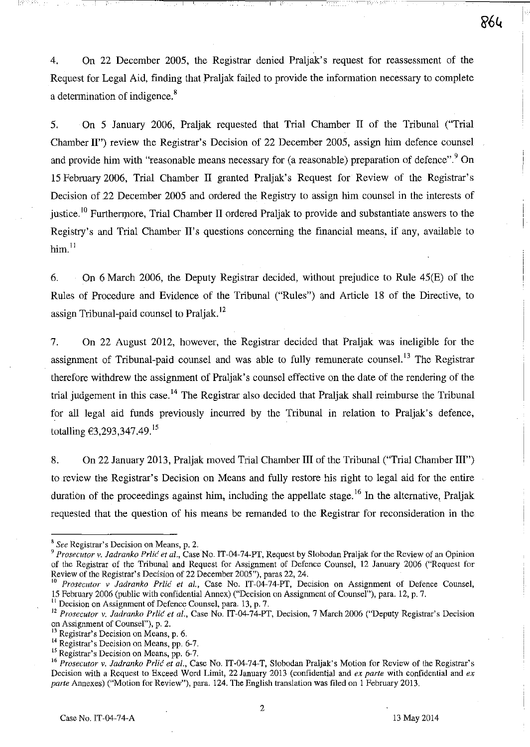4. On 22 December 2005, the Registrar denied Praljak's request for reassessment of the Request for Legal Aid, finding that Praljak failed to provide the information necessary to complete i

864

 $\sqsubset$  is

a determination of indigence.<sup>8</sup>

5. On 5 January 2006, Praljak requested that Trial Chamber II of the Tribunal ("Trial Chamber II") review the Registrar's Decision of 22 December 2005, assign him defence counsel and provide him with "reasonable means necessary for (a reasonable) preparation of defence".<sup>9</sup> On 15 February 2006, Trial Chamber II granted Praljak's Request for Review of the Registrar's Decision of.22 December 2005 and ordered the Registry to assign him counsel in the interests of justice.<sup>10</sup> Furthermore, Trial Chamber II ordered Praljak to provide and substantiate answers to the Registry's and Trial Chamber II's questions concerning the financial means, if any, available to  $\mathrm{him.}^{11}$ 

6. On 6 March 2006, the Deputy Registrar decided, without prejudice to Rule 45(E) of the Rules of Procedure and Evidence of the Tribunal ("Rules") and Article 18 of the Directive, to assign Tribunal-paid counsel to Praljak.<sup>12</sup>

7. On 22 August 2012, however, the Registrar decided that Praljak was ineligible for the assignment of Tribunal-paid counsel and was able to fully remunerate counsel.<sup>13</sup> The Registrar therefore withdrew the assignment of Praljak' s counsel effective on the date of the rendering of the trial judgement in this case.<sup>14</sup> The Registrar also decided that Praljak shall reimburse the Tribunal for all legal aid funds previously incurred by the Tribunal in relation to Praljak's defence, totalling  $63,293,347.49$ <sup>15</sup>

8. On 22 January 2013, Praljak moved Trial Chamber III of the Tribunal ("Trial Chamber III") to review the Registrar's Decision on Means and fully restore his right to legal aid for the entire duration of the proceedings against him, including the appellate stage.<sup>16</sup> In the alternative, Praljak requested that the question of his means be remanded to the Registrar for reconsideration in the

<sup>11</sup> Decision on Assignment of Defence Counsel, para. 13, p. 7.

**<sup>8</sup>***See* **Registrar's Decision on Means, p. 2.** 

<sup>&</sup>lt;sup>9</sup> Prosecutor v. Jadranko Prlić et al., Case No. IT-04-74-PT, Request by Slobodan Praljak for the Review of an Opinion of the Registrar of the Tribunal and Request for Assignment of Defence Counsel, 12 January 2006 ("Request for Review of the Registrar's Decision of 22 December 2005"), paras 22, 24.

Prosecutor v Jadranko Prlić et al., Case No. IT-04-74-PT, Decision on Assignment of Defence Counsel, 15 February 2006 (public with confidential Annex) ("Decision on Assignment of Counsel"), para. 12, p. 7.

<sup>12</sup>*Prosecutor* v. *ladranko Prlic et al.,* Case No. IT-04-74-PT, Decision, 7 March 2006 ("Deputy Registrar's Decision on Assignment of Counsel"), p. 2.

**<sup>13</sup> Registrar's Decision on Means, p. 6.** 

<sup>&</sup>lt;sup>14</sup> Registrar's Decision on Means, pp. 6-7.

**<sup>15</sup> Registrar's Decision on Means, pp. 6-7.** 

<sup>&</sup>lt;sup>16</sup> Prosecutor v. Jadranko Prlić et al., Case No. IT-04-74-T, Slobodan Praljak's Motion for Review of the Registrar's Decision wifb a Request to Exceed Word Limit, 22 January 2013 (confidential and *ex parte* wifb confidential and *ex parte* Annexes) ("Motion for Review"), para. 124. The English translation was filed on I February 2013.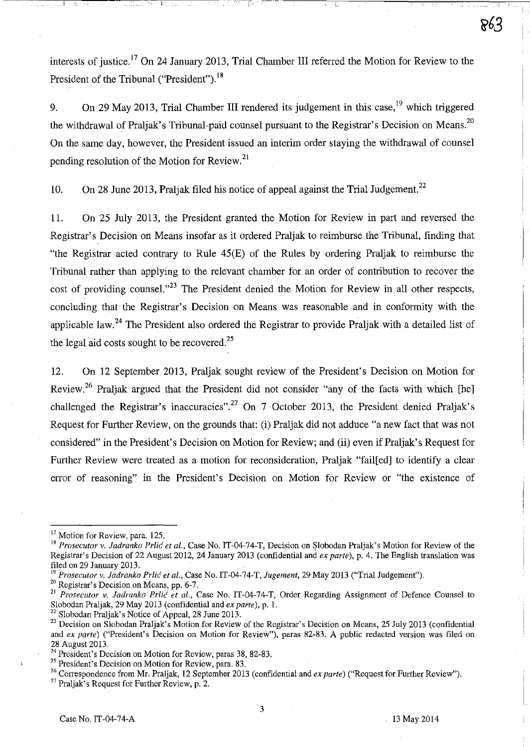است<sup>و</sup>ا - ا

interests of justice. <sup>17</sup> On 24 January 2013, Trial Chamber III referred the Motion for Review to the President of the Tribunal ("President").<sup>18</sup>

9. On 29 May 2013, Trial Chamber III rendered its judgement in this case, <sup>19</sup> which triggered the withdrawal of Praljak's Tribunal-paid counsel pursuant to the Registrar's Decision on Means.2o On the same day, however, the President issued an interim order staying the withdrawal of counsel pending resolution of the Motion for Review.<sup>21</sup>

10. On 28 June 2013, Praljak filed his notice of appeal against the Trial Judgement.<sup>22</sup>

11. On 25 July 2013, the President granted the Motion for Review in part and reversed the Registrar's Decision on Means insofar as it ordered Praljak to reimburse the Tribunal, finding that "the Registrar acted contrary to Rule 45(E) of the Rules by ordering Praljak to reimburse the Tribunal rather than applying to the relevant chamber for an order of contribution to recover the cost of providing counsel."<sup>23</sup> The President denied the Motion for Review in all other respects, concluding that the Registrar's Decision on Means was reasonable and in conformity with the applicable law.<sup>24</sup> The President also ordered the Registrar to provide Praljak with a detailed list of the legal aid costs sought to be recovered. $^{25}$ 

12. On 12 September 2013, Praljak sought review of the President's Decision on Motion for Review.<sup>26</sup> Praljak argued that the President did not consider "any of the facts with which [he] challenged the Registrar's inaccuracies".<sup>27</sup> On 7 October 2013, the President denied Praljak's Request for Further Review, on the grounds that: (i) Praljak did not adduce "a new fact that was not considered" in the President's Decision on Motion for Review; and (ii) even if Praljak's Request for Further Review were treated as a motion for reconsideration, Praljak "fail[ed] to identify a clear error of reasoning" in the President's Decision on Motion for Review or "the existence of

<sup>&</sup>lt;sup>17</sup> Motion for Review, para. 125.

<sup>&</sup>lt;sup>18</sup> Prosecutor v. *Jadranko Prlić et al.*, Case No. IT-04-74-T, Decision on Slobodan Praljak's Motion for Review of the Registrar's Decision of 22 August 2012,24 January 2013 (confidential and *ex parte),* p. 4. The English translation was filed on 29 January 2013.

<sup>19</sup>*Proseculor v. ladranko Prlic ef al.,* Case No. IT-04-74-T, *lugemenl,* 29 May 2013 ("Trial Judgement").

<sup>20</sup> **Registrar's Decision on Means, pp. 6-7.** 

<sup>&</sup>lt;sup>21</sup> Prosecutor v. Jadranko Prlić et al., Case No. IT-04-74-T, Order Regarding Assignment of Defence Counsel to Siobod.n Praljak, 29 May 2013 (confidential and *ex parle),* p. 1.

<sup>&</sup>lt;sup>22</sup> Slobodan Praljak's Notice of Appeal, 28 June 2013.

<sup>&</sup>lt;sup>23</sup> Decision on Slobodan Praljak's Motion for Review of the Registrar's Decision on Means, 25 July 2013 (confidential and *ex parle)* ("President's Decision on Motion for Review"), paras 82-83. A public redacted version was filed on 28 August 2013.

<sup>24</sup> **President's Decision on Motion for Review, paras 38, 82-83.** 

<sup>25</sup>**President's Decision on Motion for Review, para. 83.** 

<sup>26</sup> Correspondence from Mr. Praljak, 12 September 2013 (confidential and *ex parte)* ("Request for Further Review"). <sup>27</sup> Praljak's Request for Further Review, p. 2.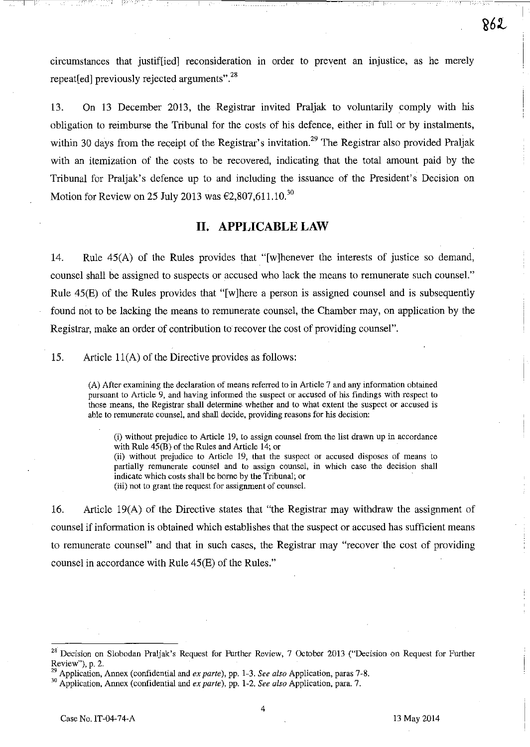circumstances that justif[ied] reconsideration in order to prevent an injustice, as he merely repeat[ed] previously rejected arguments".28

I PROSTO SA U ZAVROJENIM PRAVRADU U USTANOVU I POKRATI SUZ<u>ATENIZIZANA U S</u>A PROSTO STANOVA. PR

13. On 13 December 2013, the Registrar invited Praljak to voluntarily comply with his obligation to reimburse the Tribunal for the costs of his defence, either in full or by instalments, within 30 days from the receipt of the Registrar's invitation.<sup>29</sup> The Registrar also provided Praljak with an itemization of the costs to be recovered, indicating that the total amount paid by the Tribunal for Praljak's defence up to and including the issuance of the President's Decision on Motion for Review on 25 July 2013 was  $\epsilon$ 2,807,611.10.<sup>30</sup>

## **II. APPLICABLE LAW**

14. Rule 45(A) of the Rules provides that "[w]henever the interests of justice so demand, counsel shall be assigned to suspects or accused who lack the means to remunerate such counsel." Rule 45(E) of the Rules provides that "[w]here a person is assigned counsel and is subsequently found not to be lacking the means to remunerate counsel, the Chamber may, on application by the Registrar, make an order of contribution to recover the cost of providing counsel".

15. Article 11(A) of the Directive provides as follows:

(A) After examining the declaration of means referred to in Article 7 and any information obtained pursuant to Article 9, and having informed the suspect or accused of his findings with respect to those means, the Registrar shall determine whether and to what extent the suspect or accused is **able to remunerate counsel, and shall decide, providing reasons for his decision:** 

(i) without prejudice to Article 19, to assign counsel from the list drawn up in accordance with Rule 45(B) of the Rules and Article 14; or (ii) without prejudice to Article 19, that the suspect or accused disposes of means to **partially remunerate counsel and to assign counsel, in which case the decision shall**  indicate which costs shall be borne by the Tribunal; or

(iii) not to grant the request for assignment of counsel.

16. Article 19(A) of the Directive states that "the Registrar may withdraw the assignment of counsel if information is obtained which establishes that the suspect or accused has sufficient means to remunerate counsel" and that in such cases, the Registrar may "recover the cost of providing counsel in accordance with Rule 45(E) of the Rules."

<sup>&</sup>lt;sup>28</sup> Decision on Slobodan Praljak's Request for Further Review, 7 October 2013 ("Decision on Request for Further Review"), p. 2.

<sup>29</sup> Application, Annex (confidential and *ex parte),* pp. 1-3. *See also* Application, paras 7-8.

<sup>30</sup> Application, Annex (confidential and *ex parte),* pp. 1-2. *See also* Application, para. 7.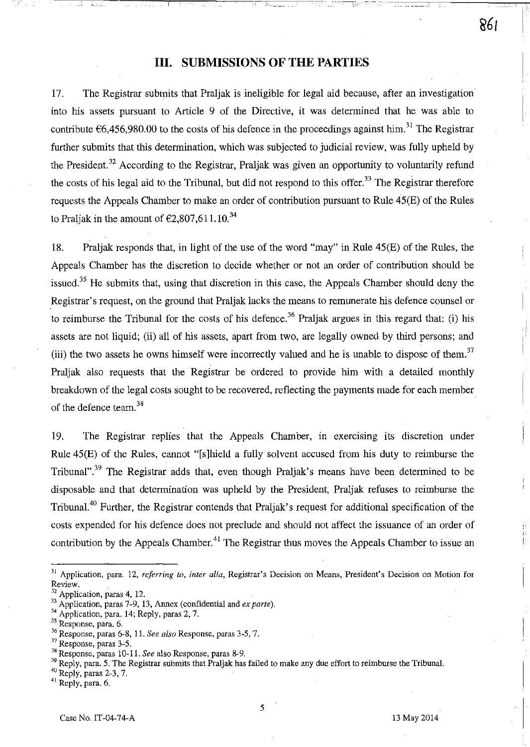# **III. SUBMISSIONS OF THE PARTIES**

I L

17. The Registrar submits that Praljak is ineligible for legal aid because, after an investigation into his assets pursuant to Article 9 of the Directive, it was determined that he was able to contribute  $\epsilon$ 6,456,980.00 to the costs of his defence in the proceedings against him.<sup>31</sup> The Registrar further submits that this determination, which was subjected to judicial review, was fully upheld by the President.<sup>32</sup> According to the Registrar, Praljak was given an opportunity to voluntarily refund the costs of his legal aid to the Tribunal, but did not respond to this offer.<sup>33</sup> The Registrar therefore requests the Appeals Chamber to make an order of contribution pursuant to Rule 45(E) of the Rules to Praljak in the amount of  $\epsilon$ 2,807,611.10.<sup>34</sup>

18. Praljak responds that, in light of the use of the word "may" in Rule 45(E) of the Rules, the Appeals Chamber has the discretion to decide whether or not an order of contribution should be issued.<sup>35</sup> He submits that, using that discretion in this case, the Appeals Chamber should deny the Registrar's request, on the ground that Praljak lacks the means to remunerate his defence counsel or to reimburse the Tribunal for the costs of his defence.<sup>36</sup> Praljak argues in this regard that: (i) his assets are not liquid; (ii) all of his assets, apart from two, are legally owned by third persons; and (iii) the two assets he owns himself were incorrectly valued and he is unable to dispose of them.<sup>37</sup> Praljak also requests that the Registrar be ordered to provide him with a detailed monthly breakdown of the legal costs sought to be recovered, reflecting the payments made for each member of the defence team.<sup>38</sup>

19. The Registrar replies that the Appeals Chamber, in exercising its discretion under Rule 45(E) of the Rules, cannot "[slhield a fully solvent accused from his duty to reimburse the Tribunal".<sup>39</sup> The Registrar adds that, even though Praljak's means have been determined to be disposable and that determination was upheld by the President, Praljak refuses to reimburse the Tribuna1.4o Further, the Registrar contends that Praljak's request for additional specification of the costs expended for his defence does not preclude and should not affect the issuance of an order of contribution by the Appeals Chamber.<sup>41</sup> The Registrar thus moves the Appeals Chamber to issue an

5

 $\_$   $\_$   $\_$   $\_$   $\Box$ 

 $\mathbf{I}$ 

~61 !

**<sup>3</sup>J Application. para. 12,** *referring to, inter alia,* **Registrar's Decision on Means, President's Decision on Motion for Review.** 

<sup>&</sup>lt;sup>32</sup> Application, paras 4, 12.

<sup>33</sup> Application, paras 7-9, 13, Annex (confidential and *ex parte).* 

<sup>&</sup>lt;sup>34</sup> Application, para. 14; Reply, paras 2, 7.

**<sup>3</sup>S Response, para. 6.** 

<sup>36</sup> Response, paras 6-8, II. *See also* Response, paras 3-5, 7.

<sup>&</sup>lt;sup>37</sup> Response, paras 3-5.

<sup>38</sup> Response, paras 10-11. *See* also Response, paras 8-9.

 $39$  Reply, para. 5. The Registrar submits that Praljak has failed to make any due effort to reimburse the Tribunal.

<sup>40</sup> Reply, paras 2-3, 7.

<sup>41</sup> Reply, para. 6.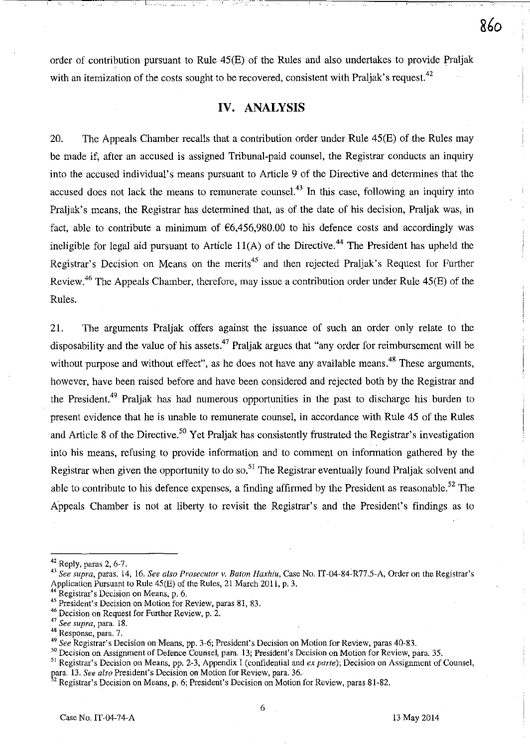order of contribution pursuant to Rule 45(E) of the Rules and also undertakes to provide Praljak with an itemization of the costs sought to be recovered, consistent with Praljak's request.<sup>42</sup>

# **IV. ANALYSIS**

20. The Appeals Chamber recalls that a contribution order under Rule 45(E) of the Rules may be made if, after an accused is assigned Tribunal-paid counsel, the Registrar conducts an inquiry into the accused individual's means pursuant to Article 9 of the Directive and determines that the accused does not lack the means to remunerate counsel.<sup>43</sup>**In** this case, following an inquiry into Praljak's means, the Registrar has determined that, as of the date of his decision, Praljak was, in fact, able to contribute a minimum of  $\epsilon$ 6,456,980.00 to his defence costs and accordingly was ineligible for legal aid pursuant to Article  $11(A)$  of the Directive.<sup>44</sup> The President has upheld the Registrar's Decision on Means on the merits<sup>45</sup> and then rejected Praljak's Request for Further Review.46 The Appeals Chamber, therefore, may issue a contribution order under Rule 45(E) of the Rules.

21. The arguments Praljak offers against the issuance of such an order only relate to the disposability and the value of his assets.<sup>47</sup> Praljak argues that "any order for reimbursement will be without purpose and without effect", as he does not have any available means.<sup>48</sup> These arguments, however, have been raised before and have been considered and rejected both by the Registrar and the President.<sup>49</sup> Praljak has had numerous opportunities in the past to discharge his burden to present evidence that he is unable to remunerate counsel, in accordance with Rule 45 of the Rules and Article 8 of the Directive.<sup>50</sup> Yet Praljak has consistently frustrated the Registrar's investigation into his means, refusing to provide information and to comment on information gathered by the Registrar when given the opportunity to do so.<sup>51</sup> The Registrar eventually found Praljak solvent and able to contribute to his defence expenses, a finding affirmed by the President as reasonable.<sup>52</sup> The Appeals Chamber is not at liberty to revisit the Registrar's and the President's findings as to

 $42$  Reply, paras 2, 6-7.

*<sup>4</sup>' See supra,* paras. 14, 16. *See also Prosecutor v. Baton Haxhiu,* Case No. IT-04-84:R77.5-A, Order on the Registrar's Application Pursuant to Rule 45(E) of the Rules, 21 March 2011, p. 3.

**<sup>44</sup> Registrar's Decision on Means, p. 6.** 

**<sup>45</sup> President's Decision on Motion for Review, paras 81, 83.** 

 $46$  Decision on Request for Further Review, p. 2.

*<sup>47</sup> See supra,* **para. 18.** 

**<sup>48</sup> Response, para. 7,** 

<sup>&</sup>lt;sup>49</sup> See Registrar's Decision on Means, pp. 3-6; President's Decision on Motion for Review, paras 40-83.

**<sup>50</sup> Decision on Assignment of Defence CounseL para. 13; President's Decision on Motion for Review, para. 35.** 

<sup>51</sup> Registrar's Decision on Means, pp. 2-3, Appendix I (confidential and *ex parte);* Decision on Assignment of Counsel, Eara. 13. *See also* President's Decision on Motion for Review, para. 36.

**<sup>2</sup> Registrar's Decision on Means, p. 6; President's Decision on Motion for Review, paras 81-82.**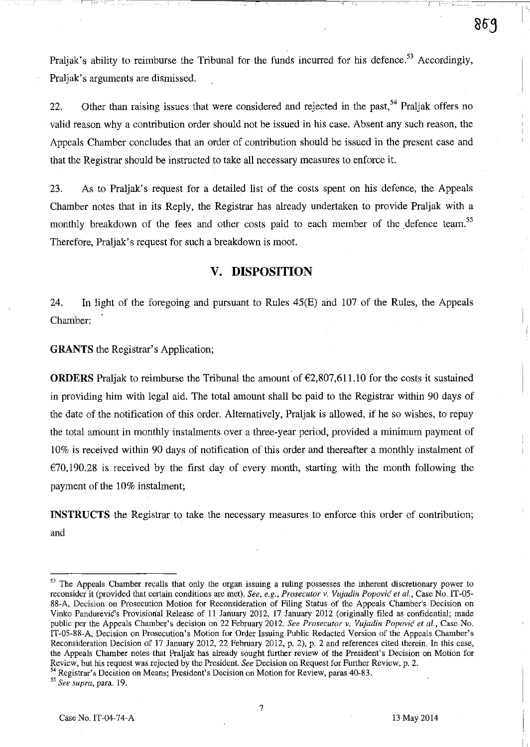Praljak's ability to reimburse the Tribunal for the funds incurred for his defence.<sup>53</sup> Accordingly, Praljak's arguments are dismissed.

----fl~- , ,

22. Other than raising issues that were considered and rejected in the past,<sup>54</sup> Praljak offers no valid reason why a contribution order should not be issued in his case. Absent any such reason, the Appeals Chamber concludes that an order of contribution should be issued in the present case and that the Registrar should be instructed to take all necessary measures to enforce it.

23. As to Praljak's request for a detailed list of the costs spent on his defence, the Appeals Chamber notes that in its Reply, the Registrar has already undertaken to provide Praljak with a monthly breakdown of the fees and other costs paid to each member of the defence team.<sup>55</sup> Therefore, Praljak's request for such a breakdown is moot.

## **V. DISPOSITION**

24. In light of the foregoing and pursuant to Rules 4S(E) and 107 of the Rules, the Appeals Chamber:

**GRANTS** the Registrar's Application;

**ORDERS** Praljak to reimburse the Tribunal the amount of  $\epsilon$ 2,807,611.10 for the costs it sustained in providing him with legal aid. The total amount shall be paid to the Registrar within 90 days of the date of the notification of this order. Alternatively, Praljak is allowed, if he so wishes, to repay the total amount in monthly instalments over a three-year period, provided a minimum payment of 10% is received within 90 days of notification of this order and thereafter a monthly instalment of  $\epsilon$ 70,190.28 is received by the first day of every month, starting with the month following the payment of the 10% instalment;

**INSTRUCTS** the Registrar to take the necessary measures to enforce this order of contribution; and

**54 Registrar's Decision on Means; President's Decision on Motion for Review, paras 40-83.** 

I,

 $\vert$ 

 $869$ 

<sup>&</sup>lt;sup>53</sup> The Appeals Chamber recalls that only the organ issuing a ruling possesses the inherent discretionary power to reconsider it (provided that certain conditions are met). See, e.g., Prosecutor v. Vujadin Popović et al., Case No. IT-05-88-A, Decision on Prosecution Motion for Reconsideration of Filing Status of the Appeals Chamber's Decision on Vinko Pandurević's Provisional Release of 11 January 2012, 17 January 2012 (originally filed as confidential; made public per the Appeals Chamber's decision on 22 February 2012. *See Prosecutor v. Vujadin Popovic et aI.,* Case No. IT-OS-88-A, Decision on Prosecution's Motion for Order Issuing Public Redacted Version of the Appeals Chamber's Reconsideration Decision of 17 January 2012, 22 February 2012, p. 2), p. 2 and references cited therein. In this case, the Appeals Chamber notes that Praljak has already sought further review of the President's Decision on Motion for Review, but his request was rejected by the President. *See* Decision on Request for Further Review, p. 2.

*<sup>55</sup> See supra,* **para. 19.**